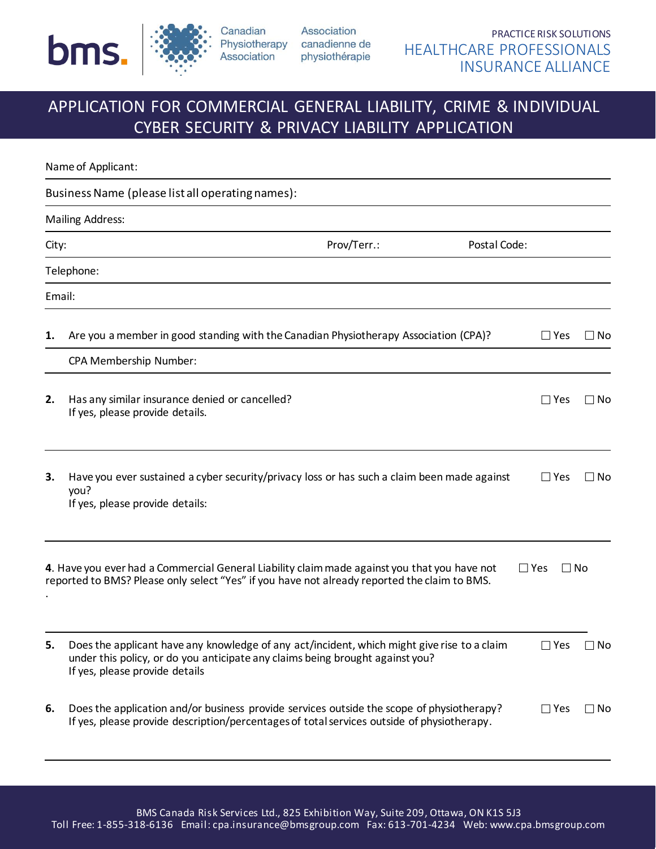

Association Canadian Physiotherapy canadienne de Association physiothérapie

# APPLICATION FOR COMMERCIAL GENERAL LIABILITY, CRIME & INDIVIDUAL CYBER SECURITY & PRIVACY LIABILITY APPLICATION

|       | Name of Applicant:                                                                                                                                                                                             |             |              |                         |              |
|-------|----------------------------------------------------------------------------------------------------------------------------------------------------------------------------------------------------------------|-------------|--------------|-------------------------|--------------|
|       | Business Name (please list all operating names):                                                                                                                                                               |             |              |                         |              |
|       | <b>Mailing Address:</b>                                                                                                                                                                                        |             |              |                         |              |
| City: |                                                                                                                                                                                                                | Prov/Terr.: | Postal Code: |                         |              |
|       | Telephone:                                                                                                                                                                                                     |             |              |                         |              |
|       | Email:                                                                                                                                                                                                         |             |              |                         |              |
| 1.    | Are you a member in good standing with the Canadian Physiotherapy Association (CPA)?                                                                                                                           |             |              | $\Box$ Yes              | l INo        |
|       | CPA Membership Number:                                                                                                                                                                                         |             |              |                         |              |
| 2.    | Has any similar insurance denied or cancelled?<br>If yes, please provide details.                                                                                                                              |             |              | $\Box$ Yes              | $\Box$ No    |
| 3.    | Have you ever sustained a cyber security/privacy loss or has such a claim been made against<br>you?<br>If yes, please provide details:                                                                         |             |              | $\Box$ Yes              | $\square$ No |
|       | 4. Have you ever had a Commercial General Liability claim made against you that you have not<br>reported to BMS? Please only select "Yes" if you have not already reported the claim to BMS.                   |             |              | $\Box$ Yes<br>$\Box$ No |              |
| 5.    | Does the applicant have any knowledge of any act/incident, which might give rise to a claim<br>under this policy, or do you anticipate any claims being brought against you?<br>If yes, please provide details |             |              | $\Box$ Yes              | $\square$ No |
| 6.    | Does the application and/or business provide services outside the scope of physiotherapy?<br>If yes, please provide description/percentages of total services outside of physiotherapy.                        |             |              | $\Box$ Yes              | $\Box$ No    |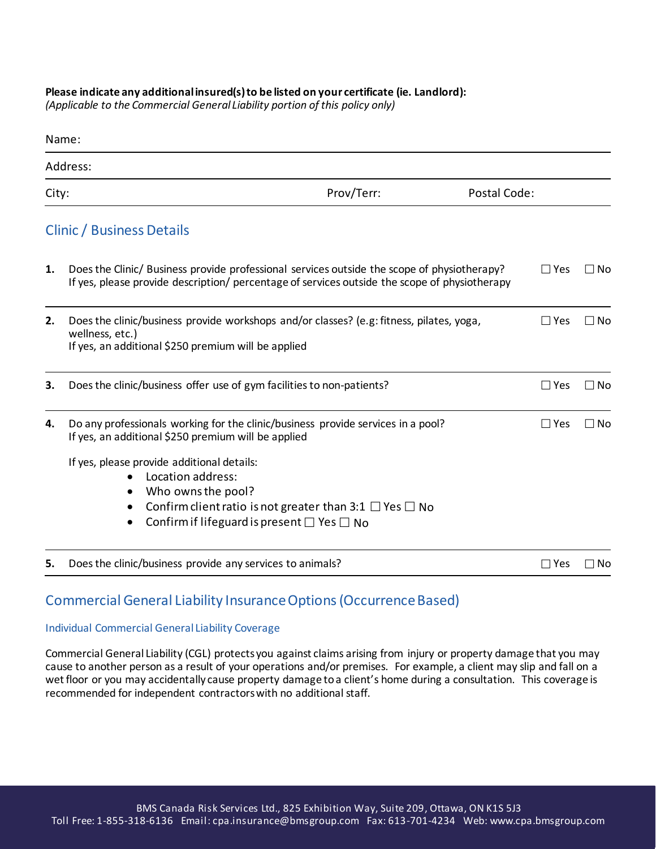#### **Please indicate any additional insured(s) to be listed on your certificate (ie. Landlord):**

*(Applicable to the Commercial General Liability portion of this policy only)*

|    | Name:                                                                                                                                                                                                                                 |  |               |           |
|----|---------------------------------------------------------------------------------------------------------------------------------------------------------------------------------------------------------------------------------------|--|---------------|-----------|
|    | Address:                                                                                                                                                                                                                              |  |               |           |
|    | Prov/Terr:<br>Postal Code:<br>City:                                                                                                                                                                                                   |  |               |           |
|    | <b>Clinic / Business Details</b>                                                                                                                                                                                                      |  |               |           |
| 1. | Does the Clinic/ Business provide professional services outside the scope of physiotherapy?<br>If yes, please provide description/ percentage of services outside the scope of physiotherapy                                          |  | $\Box$ Yes    | $\Box$ No |
| 2. | Does the clinic/business provide workshops and/or classes? (e.g: fitness, pilates, yoga,<br>wellness, etc.)<br>If yes, an additional \$250 premium will be applied                                                                    |  | $\square$ Yes | $\Box$ No |
| 3. | Does the clinic/business offer use of gym facilities to non-patients?                                                                                                                                                                 |  | $\Box$ Yes    | $\Box$ No |
| 4. | Do any professionals working for the clinic/business provide services in a pool?<br>If yes, an additional \$250 premium will be applied                                                                                               |  | $\Box$ Yes    | $\Box$ No |
|    | If yes, please provide additional details:<br>Location address:<br>Who owns the pool?<br>Confirm client ratio is not greater than 3:1 $\Box$ Yes $\Box$ No<br>Confirm if lifeguard is present $\square$ Yes $\square$ No<br>$\bullet$ |  |               |           |
| 5. | Does the clinic/business provide any services to animals?                                                                                                                                                                             |  | $\square$ Yes | ∩ No      |

### Commercial General Liability Insurance Options (Occurrence Based)

#### Individual Commercial General Liability Coverage

Commercial General Liability (CGL) protects you against claims arising from injury or property damage that you may cause to another person as a result of your operations and/or premises. For example, a client may slip and fall on a wet floor or you may accidentally cause property damage to a client's home during a consultation. This coverage is recommended for independent contractors with no additional staff.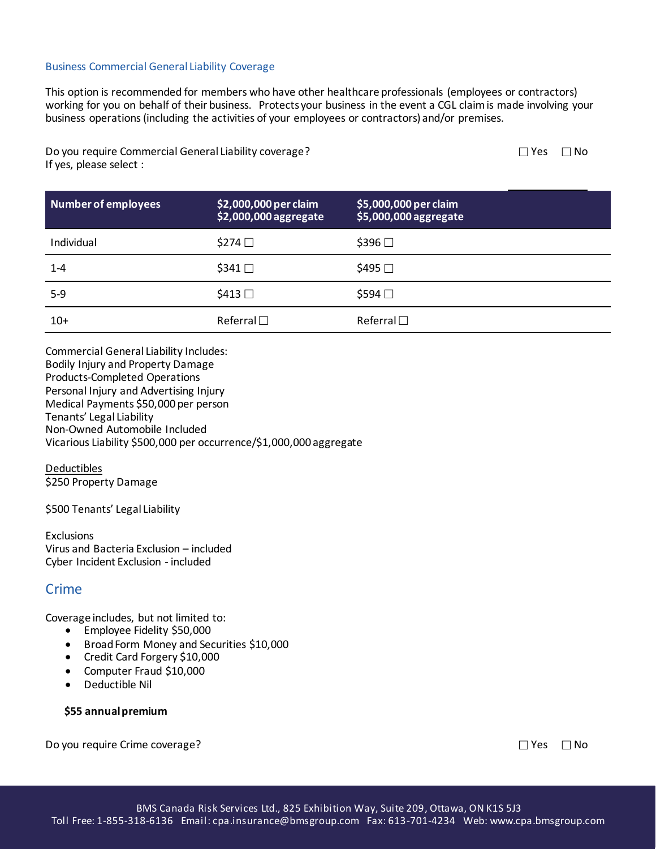#### Business Commercial General Liability Coverage

This option is recommended for members who have other healthcare professionals (employees or contractors) working for you on behalf of their business. Protects your business in the event a CGL claim is made involving your business operations (including the activities of your employees or contractors) and/or premises.

Do you require Commercial General Liability coverage? If yes, please select :

| Number of employees | \$2,000,000 per claim<br>\$2,000,000 aggregate | \$5,000,000 per claim<br>\$5,000,000 aggregate |
|---------------------|------------------------------------------------|------------------------------------------------|
| Individual          | $$274$ $\Box$                                  | $$396$ $\square$                               |
| $1 - 4$             | $$341$ $\square$                               | \$495 □                                        |
| $5-9$               | $$413$ $\square$                               | $$594$ $\square$                               |
| $10+$               | Referral $\Box$                                | Referral $\square$                             |

Commercial General Liability Includes: Bodily Injury and Property Damage Products-Completed Operations Personal Injury and Advertising Injury Medical Payments \$50,000 per person Tenants' Legal Liability Non-Owned Automobile Included Vicarious Liability \$500,000 per occurrence/\$1,000,000 aggregate

Deductibles \$250 Property Damage

\$500 Tenants' Legal Liability

**Exclusions** Virus and Bacteria Exclusion – included Cyber Incident Exclusion - included

### **Crime**

Coverage includes, but not limited to:

- Employee Fidelity \$50,000
- Broad Form Money and Securities \$10,000
- Credit Card Forgery \$10,000
- Computer Fraud \$10,000
- Deductible Nil

#### **\$55 annual premium**

Do you require Crime coverage?

| Yes | ∃ No |
|-----|------|
|-----|------|

 $\Box$  Yes  $\Box$  No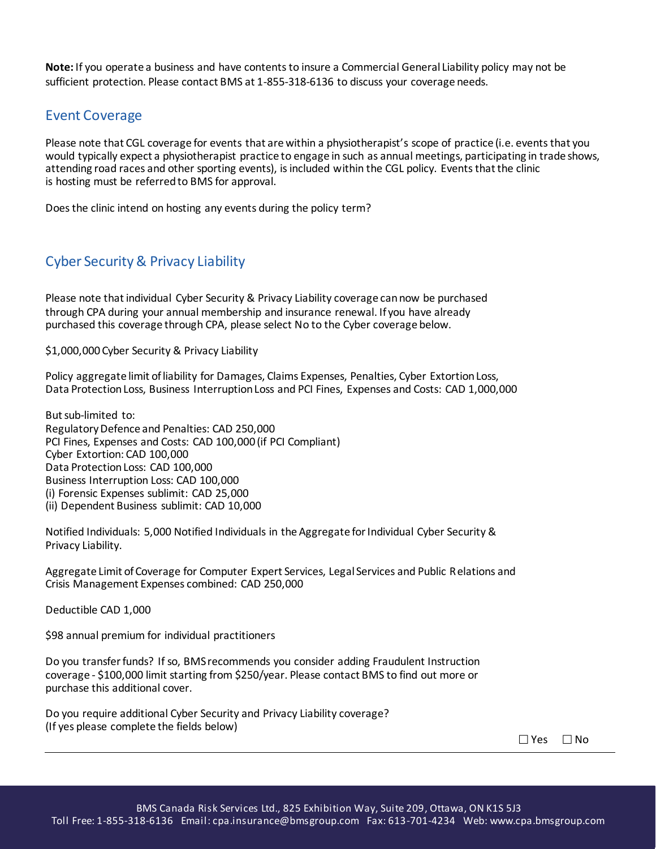**Note:** If you operate a business and have contents to insure a Commercial General Liability policy may not be sufficient protection. Please contact BMS at 1-855-318-6136 to discuss your coverage needs.

### Event Coverage

Please note that CGL coverage for events that are within a physiotherapist's scope of practice (i.e. events that you would typically expect a physiotherapist practice to engage in such as annual meetings, participating in trade shows, attending road races and other sporting events), is included within the CGL policy. Events that the clinic is hosting must be referred to BMS for approval.

Does the clinic intend on hosting any events during the policy term?

## Cyber Security & Privacy Liability

Please note that individual Cyber Security & Privacy Liability coverage can now be purchased through CPA during your annual membership and insurance renewal. If you have already purchased this coverage through CPA, please select No to the Cyber coverage below.

\$1,000,000 Cyber Security & Privacy Liability

Policy aggregate limit of liability for Damages, Claims Expenses, Penalties, Cyber Extortion Loss, Data Protection Loss, Business Interruption Loss and PCI Fines, Expenses and Costs: CAD 1,000,000

But sub-limited to: Regulatory Defence and Penalties: CAD 250,000 PCI Fines, Expenses and Costs: CAD 100,000 (if PCI Compliant) Cyber Extortion: CAD 100,000 Data Protection Loss: CAD 100,000 Business Interruption Loss: CAD 100,000 (i) Forensic Expenses sublimit: CAD 25,000 (ii) Dependent Business sublimit: CAD 10,000

Notified Individuals: 5,000 Notified Individuals in the Aggregate for Individual Cyber Security & Privacy Liability.

Aggregate Limit of Coverage for Computer Expert Services, Legal Services and Public Relations and Crisis Management Expenses combined: CAD 250,000

Deductible CAD 1,000

\$98 annual premium for individual practitioners

Do you transfer funds? If so, BMS recommends you consider adding Fraudulent Instruction coverage - \$100,000 limit starting from \$250/year. Please contact BMS to find out more or purchase this additional cover.

Do you require additional Cyber Security and Privacy Liability coverage? (If yes please complete the fields below)

| Yes | l No |
|-----|------|
|-----|------|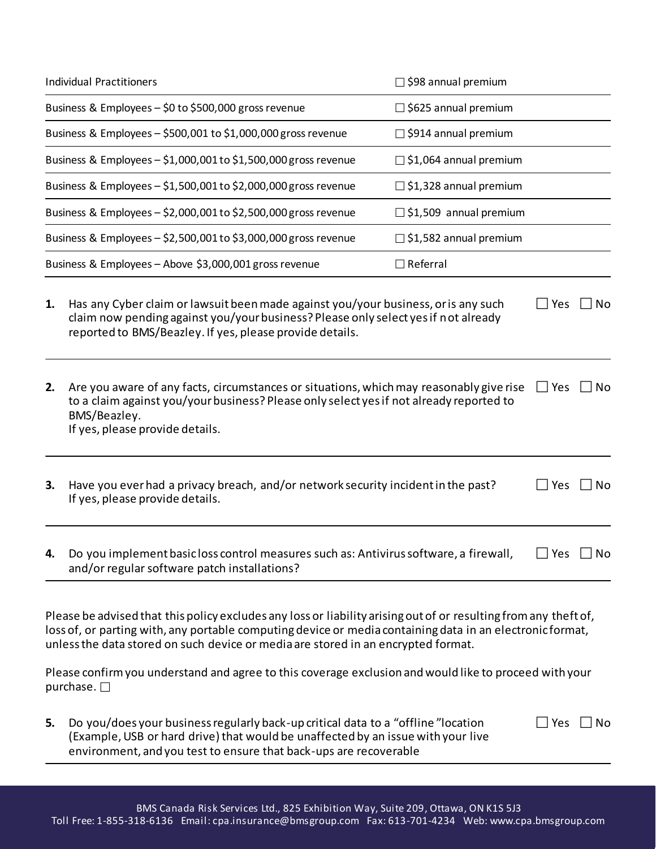| <b>Individual Practitioners</b>                                                                                                            |                                                                                                                                                                                                                                                                                                                                 | $\Box$ \$98 annual premium    |                   |                        |
|--------------------------------------------------------------------------------------------------------------------------------------------|---------------------------------------------------------------------------------------------------------------------------------------------------------------------------------------------------------------------------------------------------------------------------------------------------------------------------------|-------------------------------|-------------------|------------------------|
|                                                                                                                                            | Business & Employees - \$0 to \$500,000 gross revenue                                                                                                                                                                                                                                                                           | $\Box$ \$625 annual premium   |                   |                        |
|                                                                                                                                            | Business & Employees - \$500,001 to \$1,000,000 gross revenue                                                                                                                                                                                                                                                                   | $\Box$ \$914 annual premium   |                   |                        |
|                                                                                                                                            | Business & Employees - \$1,000,001 to \$1,500,000 gross revenue                                                                                                                                                                                                                                                                 | $\Box$ \$1,064 annual premium |                   |                        |
| Business & Employees - \$1,500,001 to \$2,000,000 gross revenue                                                                            |                                                                                                                                                                                                                                                                                                                                 | $\Box$ \$1,328 annual premium |                   |                        |
|                                                                                                                                            | Business & Employees - \$2,000,001 to \$2,500,000 gross revenue                                                                                                                                                                                                                                                                 | $\Box$ \$1,509 annual premium |                   |                        |
|                                                                                                                                            | Business & Employees - \$2,500,001 to \$3,000,000 gross revenue                                                                                                                                                                                                                                                                 | $\Box$ \$1,582 annual premium |                   |                        |
|                                                                                                                                            | Business & Employees - Above \$3,000,001 gross revenue                                                                                                                                                                                                                                                                          | $\Box$ Referral               |                   |                        |
| 1.<br>2.                                                                                                                                   | Has any Cyber claim or lawsuit been made against you/your business, or is any such<br>claim now pending against you/your business? Please only select yes if not already<br>reported to BMS/Beazley. If yes, please provide details.<br>Are you aware of any facts, circumstances or situations, which may reasonably give rise |                               | Yes<br>$\Box$ Yes | <b>No</b><br><b>No</b> |
| to a claim against you/your business? Please only select yes if not already reported to<br>BMS/Beazley.<br>If yes, please provide details. |                                                                                                                                                                                                                                                                                                                                 |                               |                   |                        |
| 3.                                                                                                                                         | Have you ever had a privacy breach, and/or network security incident in the past?<br>If yes, please provide details.                                                                                                                                                                                                            |                               | Yes               | No                     |
| 4.                                                                                                                                         | Do you implement basic loss control measures such as: Antivirus software, a firewall,<br>and/or regular software patch installations?                                                                                                                                                                                           |                               | Yes               | <b>No</b>              |
|                                                                                                                                            |                                                                                                                                                                                                                                                                                                                                 |                               |                   |                        |

Please be advised that this policy excludes any loss or liability arising out of or resulting from any theft of, loss of, or parting with, any portable computing device or media containing data in an electronic format, unless the data stored on such device or media are stored in an encrypted format.

Please confirm you understand and agree to this coverage exclusion and would like to proceed with your purchase.  $\square$ 

**5.** Do you/does your business regularly back-up critical data to a "offline "location (Example, USB or hard drive) that would be unaffected by an issue with your live environment, and you test to ensure that back-ups are recoverable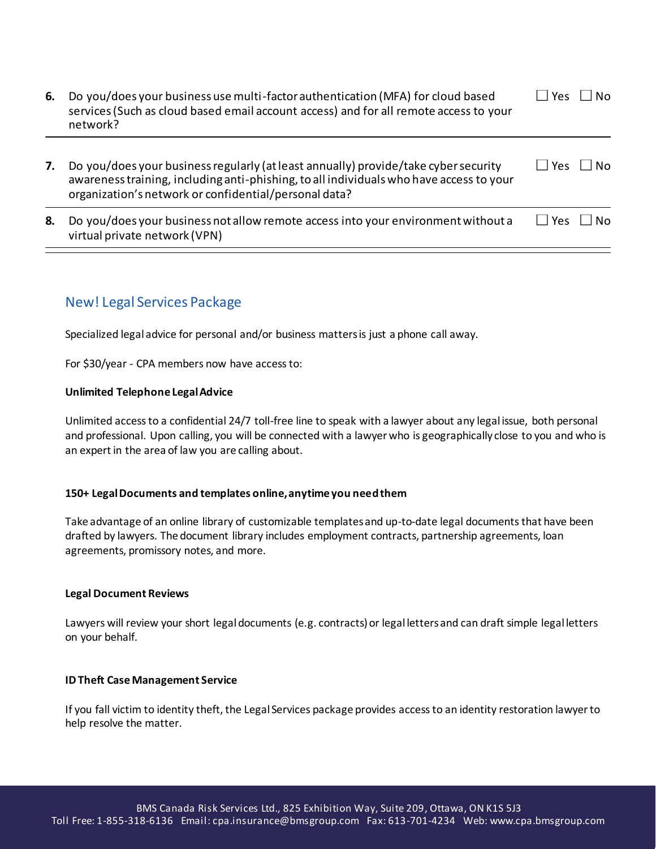| 6. | Do you/does your business use multi-factor authentication (MFA) for cloud based<br>services (Such as cloud based email account access) and for all remote access to your<br>network?                                                    | N٥<br><b>Yes</b> |
|----|-----------------------------------------------------------------------------------------------------------------------------------------------------------------------------------------------------------------------------------------|------------------|
| 7. | Do you/does your business regularly (at least annually) provide/take cyber security<br>awareness training, including anti-phishing, to all individuals who have access to your<br>organization's network or confidential/personal data? | Yes<br>N۵        |
| 8. | Do you/does your business not allow remote access into your environment without a<br>virtual private network (VPN)                                                                                                                      | N٥<br><b>Yes</b> |

## New! Legal Services Package

Specialized legal advice for personal and/or business matters is just a phone call away.

For \$30/year - CPA members now have access to:

#### **Unlimited Telephone Legal Advice**

Unlimited access to a confidential 24/7 toll-free line to speak with a lawyer about any legal issue, both personal and professional. Upon calling, you will be connected with a lawyer who is geographically close to you and who is an expert in the area of law you are calling about.

#### **150+ Legal Documents and templates online, anytime you need them**

Take advantage of an online library of customizable templates and up-to-date legal documents that have been drafted by lawyers. The document library includes employment contracts, partnership agreements, loan agreements, promissory notes, and more.

#### **Legal Document Reviews**

Lawyers will review your short legal documents (e.g. contracts) or legal letters and can draft simple legal letters on your behalf.

#### **ID Theft Case Management Service**

If you fall victim to identity theft, the Legal Services package provides access to an identity restoration lawyer to help resolve the matter.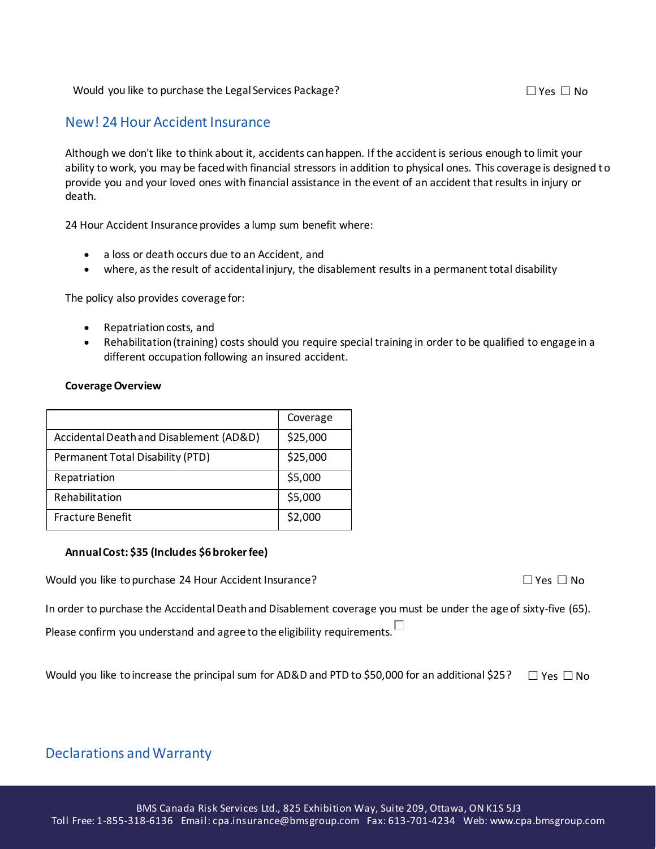#### Would you like to purchase the Legal Services Package?  $\Box$  Yes  $\Box$  Yes  $\Box$  No

### New! 24 Hour Accident Insurance

Although we don't like to think about it, accidents can happen. If the accident is serious enough to limit your ability to work, you may be faced with financial stressors in addition to physical ones. This coverage is designed to provide you and your loved ones with financial assistance in the event of an accident that results in injury or death.

24 Hour Accident Insurance provides a lump sum benefit where:

- a loss or death occurs due to an Accident, and
- where, as the result of accidental injury, the disablement results in a permanent total disability

The policy also provides coverage for:

- Repatriation costs, and
- Rehabilitation (training) costs should you require special training in order to be qualified to engage in a different occupation following an insured accident.

#### **Coverage Overview**

|                                         | Coverage |
|-----------------------------------------|----------|
| Accidental Death and Disablement (AD&D) | \$25,000 |
| Permanent Total Disability (PTD)        | \$25,000 |
| Repatriation                            | \$5,000  |
| Rehabilitation                          | \$5,000  |
| <b>Fracture Benefit</b>                 | \$2,000  |

#### **Annual Cost: \$35 (Includes \$6 broker fee)**

Would you like to purchase 24 Hour Accident Insurance?  $\Box$  Yes  $\Box$  Yes  $\Box$  No

In order to purchase the Accidental Death and Disablement coverage you must be under the age of sixty-five (65).

Please confirm you understand and agree to the eligibility requirements.  $\Box$ 

Would you like to increase the principal sum for AD&D and PTD to \$50,000 for an additional \$25?  $\Box$  Yes  $\Box$  No

## Declarations and Warranty